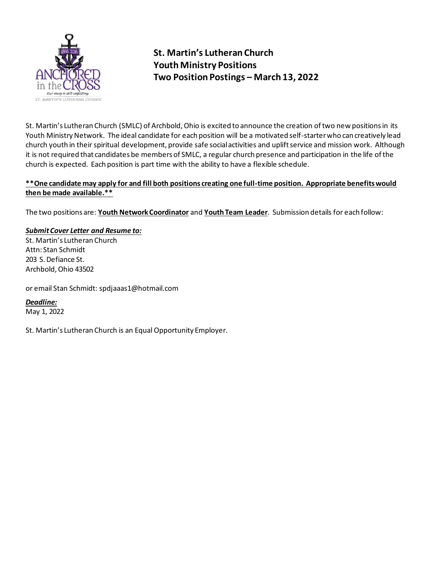

# **St. Martin's Lutheran Church Youth Ministry Positions Two Position Postings – March 13, 2022**

St. Martin's Lutheran Church (SMLC) of Archbold, Ohio is excited to announce the creation of two new positions in its Youth Ministry Network. The ideal candidate for each position will be a motivated self-starter who can creatively lead church youth in their spiritual development, provide safe social activities and uplift service and mission work. Although it is not required that candidates be members of SMLC, a regular church presence and participation in the life of the church is expected. Each position is part time with the ability to have a flexible schedule.

### **\*\*One candidate may apply for and fill both positions creating one full-time position. Appropriate benefits would then be made available.\*\***

The two positions are: **Youth Network Coordinator** and **Youth Team Leader**. Submission details for each follow:

## *Submit Cover Letter and Resume to:*

St. Martin's Lutheran Church Attn: Stan Schmidt 203 S. Defiance St. Archbold, Ohio 43502

or email Stan Schmidt: spdjaaas1@hotmail.com

*Deadline:* May 1, 2022

St. Martin's Lutheran Church is an Equal Opportunity Employer.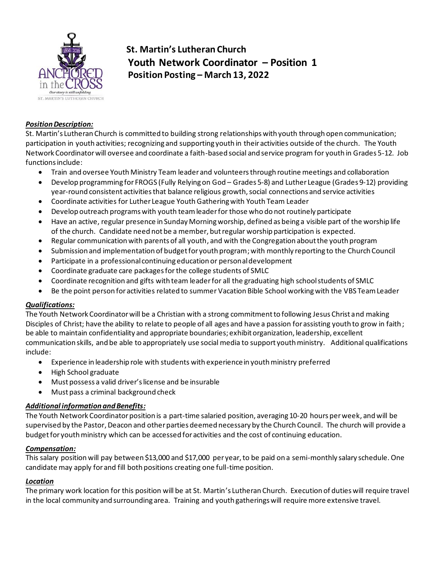

**St. Martin's Lutheran Church Youth Network Coordinator – Position 1 Position Posting – March 13, 2022**

#### *Position Description:*

St. Martin's Lutheran Church is committed to building strong relationships with youth through open communication; participation in youth activities; recognizing and supporting youth in their activities outside of the church. The Youth Network Coordinator will oversee and coordinate a faith-based social and service program for youth in Grades 5-12. Job functions include:

- Train and oversee Youth Ministry Team leader and volunteersthrough routine meetings and collaboration
- Develop programming for FROGS (Fully Relying on God Grades 5-8) and Luther League (Grades 9-12) providing year-round consistent activities that balance religious growth, social connections and service activities
- Coordinate activities for Luther League YouthGathering with Youth Team Leader
- Develop outreach programs with youth team leader for those who do not routinely participate
- Have an active, regular presence in Sunday Morning worship, defined as being a visible part of the worship life of the church. Candidate need not be a member, but regular worship participation is expected.
- Regular communication with parents of all youth, and with the Congregation about the youth program
- Submission and implementation of budget for youth program; with monthly reporting to the Church Council
- Participate in a professional continuing education or personaldevelopment
- Coordinate graduate care packages for the college students of SMLC
- Coordinate recognition and gifts with team leader for all the graduating high school students of SMLC
- Be the point person for activities related to summer Vacation Bible School working with the VBS Team Leader

#### *Qualifications:*

The Youth Network Coordinator will be a Christian with a strong commitment to following Jesus Christ and making Disciples of Christ; have the ability to relate to people of all ages and have a passion for assisting youth to grow in faith; be able to maintain confidentiality and appropriate boundaries; exhibit organization, leadership, excellent communication skills, and be able to appropriately use social media to support youth ministry. Additional qualifications include:

- Experience in leadership role with students with experience in youth ministry preferred
- High School graduate
- Must possess a valid driver's license and be insurable
- Must pass a criminal background check

#### *Additional information and Benefits:*

The Youth Network Coordinator position is a part-time salaried position, averaging 10-20 hours per week, and will be supervised by the Pastor, Deacon and other parties deemed necessary by the Church Council. The church will provide a budget for youth ministry which can be accessed for activities and the cost of continuing education.

#### *Compensation:*

This salary position will pay between \$13,000 and \$17,000 per year, to be paid on a semi-monthly salary schedule. One candidate may apply for and fill both positions creating one full-time position.

#### *Location*

The primary work location for this position will be at St. Martin's Lutheran Church. Execution of duties will require travel in the local community and surrounding area. Training and youth gatherings will require more extensive travel.